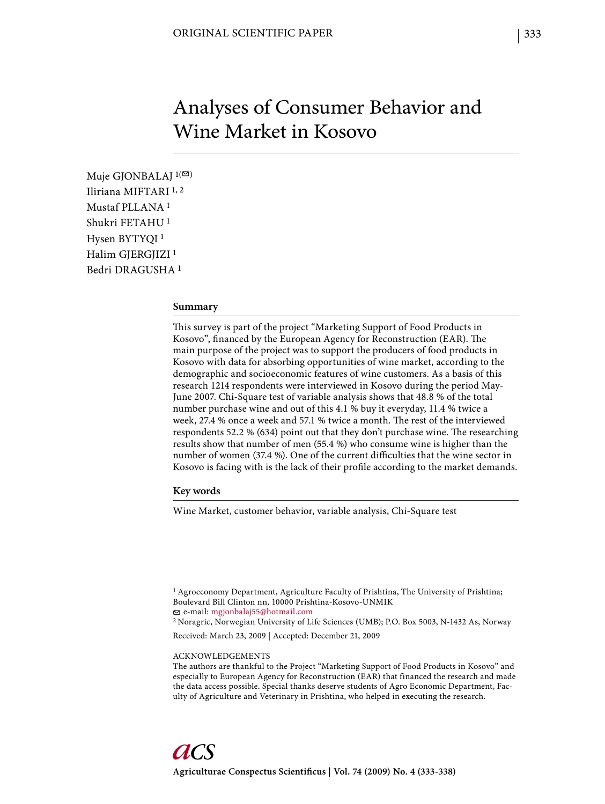# Analyses of Consumer Behavior and Wine Market in Kosovo

Muje GJONBALAJ  $1(\mathfrak{S})$ Iliriana MIFTARI 1, 2 Mustaf PLLANA 1 Shukri FETAHU 1 Hysen BYTYQI 1 Halim GJERGJIZI<sup>1</sup> Bedri DRAGUSHA 1

#### **Summary**

This survey is part of the project "Marketing Support of Food Products in Kosovo", financed by the European Agency for Reconstruction (EAR). The main purpose of the project was to support the producers of food products in Kosovo with data for absorbing opportunities of wine market, according to the demographic and socioeconomic features of wine customers. As a basis of this research 1214 respondents were interviewed in Kosovo during the period May-June 2007. Chi-Square test of variable analysis shows that 48.8 % of the total number purchase wine and out of this 4.1 % buy it everyday, 11.4 % twice a week, 27.4 % once a week and 57.1 % twice a month. The rest of the interviewed respondents 52.2 % (634) point out that they don't purchase wine. The researching results show that number of men (55.4 %) who consume wine is higher than the number of women (37.4 %). One of the current difficulties that the wine sector in Kosovo is facing with is the lack of their profile according to the market demands.

## **Key words**

Wine Market, customer behavior, variable analysis, Chi-Square test

2 Noragric, Norwegian University of Life Sciences (UMB); P.O. Box 5003, N-1432 As, Norway

Received: March 23, 2009 | Accepted: December 21, 2009

#### ACKNOWLEDGEMENTS

<sup>1</sup> Agroeconomy Department, Agriculture Faculty of Prishtina, The University of Prishtina; Boulevard Bill Clinton nn, 10000 Prishtina-Kosovo-UNMIK e-mail: mgjonbalaj55@hotmail.com

The authors are thankful to the Project "Marketing Support of Food Products in Kosovo" and especially to European Agency for Reconstruction (EAR) that financed the research and made the data access possible. Special thanks deserve students of Agro Economic Department, Faculty of Agriculture and Veterinary in Prishtina, who helped in executing the research.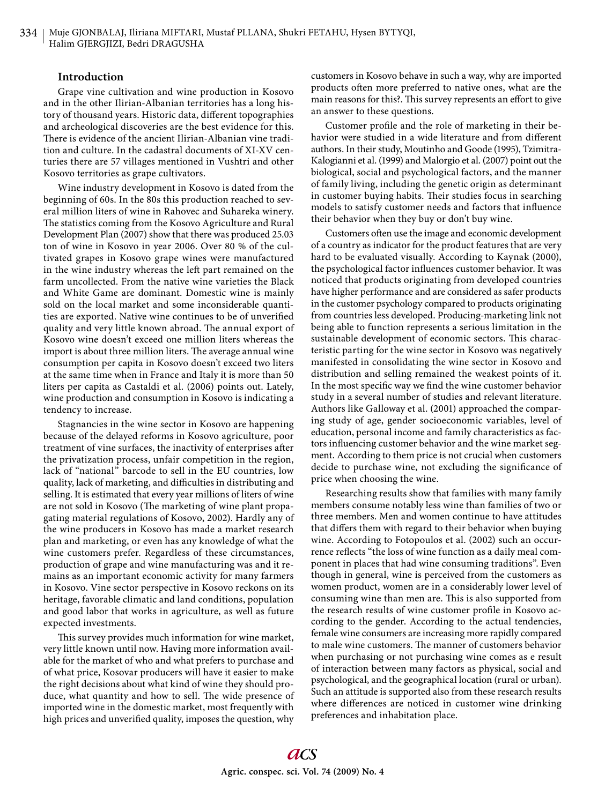### **Introduction**

Grape vine cultivation and wine production in Kosovo and in the other Ilirian-Albanian territories has a long history of thousand years. Historic data, different topographies and archeological discoveries are the best evidence for this. There is evidence of the ancient Ilirian-Albanian vine tradition and culture. In the cadastral documents of XI-XV centuries there are 57 villages mentioned in Vushtri and other Kosovo territories as grape cultivators.

Wine industry development in Kosovo is dated from the beginning of 60s. In the 80s this production reached to several million liters of wine in Rahovec and Suhareka winery. The statistics coming from the Kosovo Agriculture and Rural Development Plan (2007) show that there was produced 25.03 ton of wine in Kosovo in year 2006. Over 80 % of the cultivated grapes in Kosovo grape wines were manufactured in the wine industry whereas the left part remained on the farm uncollected. From the native wine varieties the Black and White Game are dominant. Domestic wine is mainly sold on the local market and some inconsiderable quantities are exported. Native wine continues to be of unverified quality and very little known abroad. The annual export of Kosovo wine doesn't exceed one million liters whereas the import is about three million liters. The average annual wine consumption per capita in Kosovo doesn't exceed two liters at the same time when in France and Italy it is more than 50 liters per capita as Castaldi et al. (2006) points out. Lately, wine production and consumption in Kosovo is indicating a tendency to increase.

Stagnancies in the wine sector in Kosovo are happening because of the delayed reforms in Kosovo agriculture, poor treatment of vine surfaces, the inactivity of enterprises after the privatization process, unfair competition in the region, lack of "national" barcode to sell in the EU countries, low quality, lack of marketing, and difficulties in distributing and selling. It is estimated that every year millions of liters of wine are not sold in Kosovo (The marketing of wine plant propagating material regulations of Kosovo, 2002). Hardly any of the wine producers in Kosovo has made a market research plan and marketing, or even has any knowledge of what the wine customers prefer. Regardless of these circumstances, production of grape and wine manufacturing was and it remains as an important economic activity for many farmers in Kosovo. Vine sector perspective in Kosovo reckons on its heritage, favorable climatic and land conditions, population and good labor that works in agriculture, as well as future expected investments.

This survey provides much information for wine market, very little known until now. Having more information available for the market of who and what prefers to purchase and of what price, Kosovar producers will have it easier to make the right decisions about what kind of wine they should produce, what quantity and how to sell. The wide presence of imported wine in the domestic market, most frequently with high prices and unverified quality, imposes the question, why

customers in Kosovo behave in such a way, why are imported products often more preferred to native ones, what are the main reasons for this?. This survey represents an effort to give an answer to these questions.

Customer profile and the role of marketing in their behavior were studied in a wide literature and from different authors. In their study, Moutinho and Goode (1995), Tzimitra-Kalogianni et al. (1999) and Malorgio et al. (2007) point out the biological, social and psychological factors, and the manner of family living, including the genetic origin as determinant in customer buying habits. Their studies focus in searching models to satisfy customer needs and factors that influence their behavior when they buy or don't buy wine.

Customers often use the image and economic development of a country as indicator for the product features that are very hard to be evaluated visually. According to Kaynak (2000), the psychological factor influences customer behavior. It was noticed that products originating from developed countries have higher performance and are considered as safer products in the customer psychology compared to products originating from countries less developed. Producing-marketing link not being able to function represents a serious limitation in the sustainable development of economic sectors. This characteristic parting for the wine sector in Kosovo was negatively manifested in consolidating the wine sector in Kosovo and distribution and selling remained the weakest points of it. In the most specific way we find the wine customer behavior study in a several number of studies and relevant literature. Authors like Galloway et al. (2001) approached the comparing study of age, gender socioeconomic variables, level of education, personal income and family characteristics as factors influencing customer behavior and the wine market segment. According to them price is not crucial when customers decide to purchase wine, not excluding the significance of price when choosing the wine.

Researching results show that families with many family members consume notably less wine than families of two or three members. Men and women continue to have attitudes that differs them with regard to their behavior when buying wine. According to Fotopoulos et al. (2002) such an occurrence reflects "the loss of wine function as a daily meal component in places that had wine consuming traditions". Even though in general, wine is perceived from the customers as women product, women are in a considerably lower level of consuming wine than men are. This is also supported from the research results of wine customer profile in Kosovo according to the gender. According to the actual tendencies, female wine consumers are increasing more rapidly compared to male wine customers. The manner of customers behavior when purchasing or not purchasing wine comes as e result of interaction between many factors as physical, social and psychological, and the geographical location (rural or urban). Such an attitude is supported also from these research results where differences are noticed in customer wine drinking preferences and inhabitation place.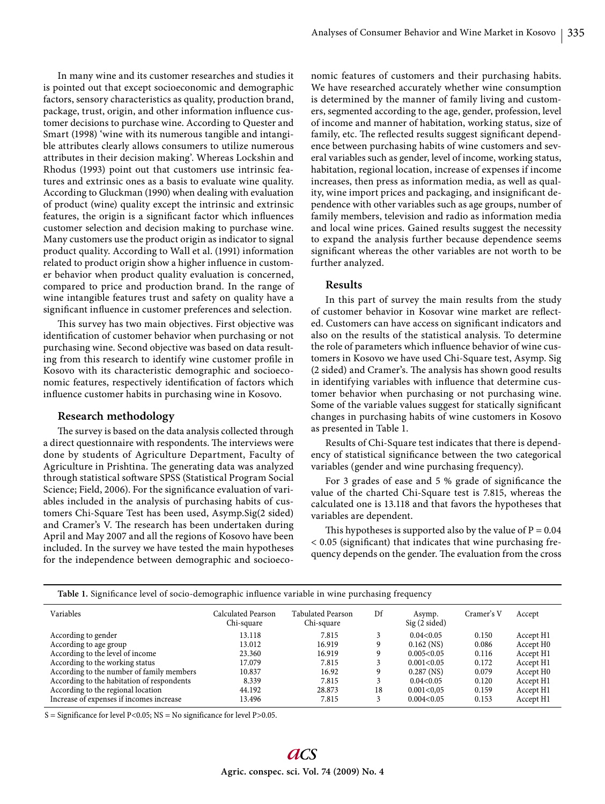In many wine and its customer researches and studies it is pointed out that except socioeconomic and demographic factors, sensory characteristics as quality, production brand, package, trust, origin, and other information influence customer decisions to purchase wine. According to Quester and Smart (1998) 'wine with its numerous tangible and intangible attributes clearly allows consumers to utilize numerous attributes in their decision making'. Whereas Lockshin and Rhodus (1993) point out that customers use intrinsic features and extrinsic ones as a basis to evaluate wine quality. According to Gluckman (1990) when dealing with evaluation of product (wine) quality except the intrinsic and extrinsic features, the origin is a significant factor which influences customer selection and decision making to purchase wine. Many customers use the product origin as indicator to signal product quality. According to Wall et al. (1991) information related to product origin show a higher influence in customer behavior when product quality evaluation is concerned, compared to price and production brand. In the range of wine intangible features trust and safety on quality have a significant influence in customer preferences and selection.

This survey has two main objectives. First objective was identification of customer behavior when purchasing or not purchasing wine. Second objective was based on data resulting from this research to identify wine customer profile in Kosovo with its characteristic demographic and socioeconomic features, respectively identification of factors which influence customer habits in purchasing wine in Kosovo.

# **Research methodology**

The survey is based on the data analysis collected through a direct questionnaire with respondents. The interviews were done by students of Agriculture Department, Faculty of Agriculture in Prishtina. The generating data was analyzed through statistical software SPSS (Statistical Program Social Science; Field, 2006). For the significance evaluation of variables included in the analysis of purchasing habits of customers Chi-Square Test has been used, Asymp.Sig(2 sided) and Cramer's V. The research has been undertaken during April and May 2007 and all the regions of Kosovo have been included. In the survey we have tested the main hypotheses for the independence between demographic and socioeconomic features of customers and their purchasing habits. We have researched accurately whether wine consumption is determined by the manner of family living and customers, segmented according to the age, gender, profession, level of income and manner of habitation, working status, size of family, etc. The reflected results suggest significant dependence between purchasing habits of wine customers and several variables such as gender, level of income, working status, habitation, regional location, increase of expenses if income increases, then press as information media, as well as quality, wine import prices and packaging, and insignificant dependence with other variables such as age groups, number of family members, television and radio as information media and local wine prices. Gained results suggest the necessity to expand the analysis further because dependence seems significant whereas the other variables are not worth to be further analyzed.

# **Results**

In this part of survey the main results from the study of customer behavior in Kosovar wine market are reflected. Customers can have access on significant indicators and also on the results of the statistical analysis. To determine the role of parameters which influence behavior of wine customers in Kosovo we have used Chi-Square test, Asymp. Sig (2 sided) and Cramer's. The analysis has shown good results in identifying variables with influence that determine customer behavior when purchasing or not purchasing wine. Some of the variable values suggest for statically significant changes in purchasing habits of wine customers in Kosovo as presented in Table 1.

Results of Chi-Square test indicates that there is dependency of statistical significance between the two categorical variables (gender and wine purchasing frequency).

For 3 grades of ease and 5  $%$  grade of significance the value of the charted Chi-Square test is 7.815, whereas the calculated one is 13.118 and that favors the hypotheses that variables are dependent.

This hypotheses is supported also by the value of  $P = 0.04$  $< 0.05$  (significant) that indicates that wine purchasing frequency depends on the gender. The evaluation from the cross

| Table 1. Significance level of socio-demographic influence variable in wine purchasing frequency |                                  |                                        |    |                             |            |                       |  |
|--------------------------------------------------------------------------------------------------|----------------------------------|----------------------------------------|----|-----------------------------|------------|-----------------------|--|
| Variables                                                                                        | Calculated Pearson<br>Chi-square | <b>Tabulated Pearson</b><br>Chi-square | Df | Asymp.<br>$Sig(2 \, sided)$ | Cramer's V | Accept                |  |
| According to gender                                                                              | 13.118                           | 7.815                                  | 3  | 0.04<0.05                   | 0.150      | Accept H <sub>1</sub> |  |
| According to age group                                                                           | 13.012                           | 16.919                                 | 9  | $0.162$ (NS)                | 0.086      | Accept H <sub>0</sub> |  |
| According to the level of income                                                                 | 23.360                           | 16.919                                 | 9  | 0.005<0.05                  | 0.116      | Accept H1             |  |
| According to the working status                                                                  | 17.079                           | 7.815                                  | 3  | 0.001< 0.05                 | 0.172      | Accept H1             |  |
| According to the number of family members                                                        | 10.837                           | 16.92                                  | 9  | $0.287$ (NS)                | 0.079      | Accept H <sub>0</sub> |  |
| According to the habitation of respondents                                                       | 8.339                            | 7.815                                  | 3  | 0.04< 0.05                  | 0.120      | Accept H1             |  |
| According to the regional location                                                               | 44.192                           | 28.873                                 | 18 | 0.001<0.05                  | 0.159      | Accept H1             |  |
| Increase of expenses if incomes increase                                                         | 13.496                           | 7.815                                  | 3  | 0.004<0.05                  | 0.153      | Accept H1             |  |

S = Significance for level P<0.05; NS = No significance for level P>0.05.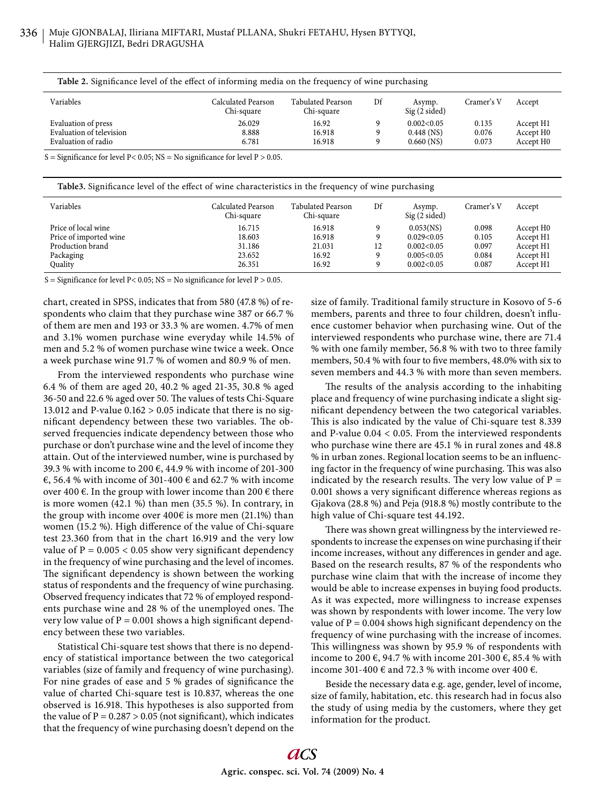| Table 2. Significance level of the effect of informing media on the frequency of wine purchasing |  |  |  |
|--------------------------------------------------------------------------------------------------|--|--|--|
|                                                                                                  |  |  |  |

| Variables                | Calculated Pearson<br>Chi-square | <b>Tabulated Pearson</b><br>Chi-square | Df | Asymp.<br>$Sig(2 \, sided)$ | Cramer's V | Accept                |
|--------------------------|----------------------------------|----------------------------------------|----|-----------------------------|------------|-----------------------|
| Evaluation of press      | 26.029                           | 16.92                                  |    | 0.002<0.05                  | 0.135      | Accept H <sub>1</sub> |
| Evaluation of television | 8.888                            | 16.918                                 |    | $0.448$ (NS)                | 0.076      | Accept H <sub>0</sub> |
| Evaluation of radio      | 6.781                            | 16.918                                 |    | $0.660$ (NS)                | 0.073      | Accept H <sub>0</sub> |

S = Significance for level  $P < 0.05$ ; NS = No significance for level  $P > 0.05$ .

**Table3.** Significance level of the effect of wine characteristics in the frequency of wine purchasing

| Variables              | Calculated Pearson<br>Chi-square | Tabulated Pearson<br>Chi-square | Df | Asymp.<br>$Sig(2 \, sided)$ | Cramer's V | Accept                |
|------------------------|----------------------------------|---------------------------------|----|-----------------------------|------------|-----------------------|
| Price of local wine    | 16.715                           | 16.918                          | 9  | 0.053(NS)                   | 0.098      | Accept H <sub>0</sub> |
| Price of imported wine | 18.603                           | 16.918                          | 9  | 0.029<0.05                  | 0.105      | Accept H1             |
| Production brand       | 31.186                           | 21.031                          | 12 | 0.002<0.05                  | 0.097      | Accept H1             |
| Packaging              | 23.652                           | 16.92                           | 9  | 0.005<0.05                  | 0.084      | Accept H1             |
| Quality                | 26.351                           | 16.92                           | 9  | 0.002<0.05                  | 0.087      | Accept H1             |

S = Significance for level P< 0.05; NS = No significance for level P > 0.05.

chart, created in SPSS, indicates that from 580 (47.8 %) of respondents who claim that they purchase wine 387 or 66.7 % of them are men and 193 or 33.3 % are women. 4.7% of men and 3.1% women purchase wine everyday while 14.5% of men and 5.2 % of women purchase wine twice a week. Once a week purchase wine 91.7 % of women and 80.9 % of men.

From the interviewed respondents who purchase wine 6.4 % of them are aged 20, 40.2 % aged 21-35, 30.8 % aged 36-50 and 22.6 % aged over 50. The values of tests Chi-Square 13.012 and P-value  $0.162 > 0.05$  indicate that there is no significant dependency between these two variables. The observed frequencies indicate dependency between those who purchase or don't purchase wine and the level of income they attain. Out of the interviewed number, wine is purchased by 39.3 % with income to 200 €, 44.9 % with income of 201-300 €, 56.4 % with income of 301-400 € and 62.7 % with income over 400  $\epsilon$ . In the group with lower income than 200  $\epsilon$  there is more women (42.1 %) than men (35.5 %). In contrary, in the group with income over  $400\epsilon$  is more men (21.1%) than women (15.2 %). High difference of the value of Chi-square test 23.360 from that in the chart 16.919 and the very low value of  $P = 0.005 < 0.05$  show very significant dependency in the frequency of wine purchasing and the level of incomes. The significant dependency is shown between the working status of respondents and the frequency of wine purchasing. Observed frequency indicates that 72 % of employed respondents purchase wine and 28 % of the unemployed ones. The very low value of  $P = 0.001$  shows a high significant dependency between these two variables.

Statistical Chi-square test shows that there is no dependency of statistical importance between the two categorical variables (size of family and frequency of wine purchasing). For nine grades of ease and 5 % grades of significance the value of charted Chi-square test is 10.837, whereas the one observed is 16.918. This hypotheses is also supported from the value of  $P = 0.287 > 0.05$  (not significant), which indicates that the frequency of wine purchasing doesn't depend on the size of family. Traditional family structure in Kosovo of 5-6 members, parents and three to four children, doesn't influence customer behavior when purchasing wine. Out of the interviewed respondents who purchase wine, there are 71.4 % with one family member, 56.8 % with two to three family members, 50.4 % with four to five members, 48.0% with six to seven members and 44.3 % with more than seven members.

The results of the analysis according to the inhabiting place and frequency of wine purchasing indicate a slight significant dependency between the two categorical variables. This is also indicated by the value of Chi-square test 8.339 and P-value 0.04 < 0.05. From the interviewed respondents who purchase wine there are 45.1 % in rural zones and 48.8 % in urban zones. Regional location seems to be an influencing factor in the frequency of wine purchasing. This was also indicated by the research results. The very low value of  $P =$ 0.001 shows a very significant difference whereas regions as Gjakova (28.8 %) and Peja (918.8 %) mostly contribute to the high value of Chi-square test 44.192.

There was shown great willingness by the interviewed respondents to increase the expenses on wine purchasing if their income increases, without any differences in gender and age. Based on the research results, 87 % of the respondents who purchase wine claim that with the increase of income they would be able to increase expenses in buying food products. As it was expected, more willingness to increase expenses was shown by respondents with lower income. The very low value of  $P = 0.004$  shows high significant dependency on the frequency of wine purchasing with the increase of incomes. This willingness was shown by 95.9 % of respondents with income to 200 €, 94.7 % with income 201-300 €, 85.4 % with income 301-400 € and 72.3 % with income over 400 €.

Beside the necessary data e.g. age, gender, level of income, size of family, habitation, etc. this research had in focus also the study of using media by the customers, where they get information for the product.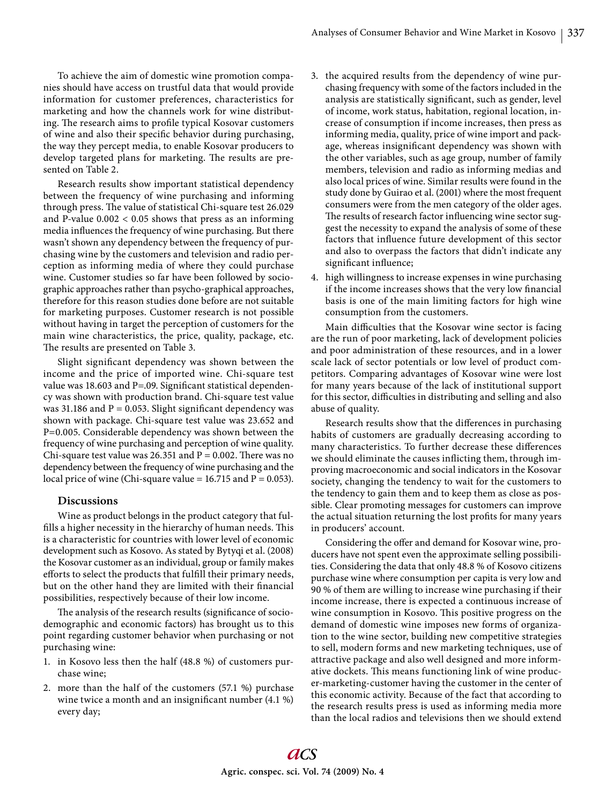To achieve the aim of domestic wine promotion companies should have access on trustful data that would provide information for customer preferences, characteristics for marketing and how the channels work for wine distributing. The research aims to profile typical Kosovar customers of wine and also their specific behavior during purchasing, the way they percept media, to enable Kosovar producers to develop targeted plans for marketing. The results are presented on Table 2.

Research results show important statistical dependency between the frequency of wine purchasing and informing through press. The value of statistical Chi-square test 26.029 and P-value  $0.002 < 0.05$  shows that press as an informing media influences the frequency of wine purchasing. But there wasn't shown any dependency between the frequency of purchasing wine by the customers and television and radio perception as informing media of where they could purchase wine. Customer studies so far have been followed by sociographic approaches rather than psycho-graphical approaches, therefore for this reason studies done before are not suitable for marketing purposes. Customer research is not possible without having in target the perception of customers for the main wine characteristics, the price, quality, package, etc. The results are presented on Table 3.

Slight significant dependency was shown between the income and the price of imported wine. Chi-square test value was 18.603 and P=.09. Significant statistical dependency was shown with production brand. Chi-square test value was 31.186 and  $P = 0.053$ . Slight significant dependency was shown with package. Chi-square test value was 23.652 and P=0.005. Considerable dependency was shown between the frequency of wine purchasing and perception of wine quality. Chi-square test value was 26.351 and  $P = 0.002$ . There was no dependency between the frequency of wine purchasing and the local price of wine (Chi-square value =  $16.715$  and  $P = 0.053$ ).

# **Discussions**

Wine as product belongs in the product category that fulfills a higher necessity in the hierarchy of human needs. This is a characteristic for countries with lower level of economic development such as Kosovo. As stated by Bytyqi et al. (2008) the Kosovar customer as an individual, group or family makes efforts to select the products that fulfill their primary needs, but on the other hand they are limited with their financial possibilities, respectively because of their low income.

The analysis of the research results (significance of sociodemographic and economic factors) has brought us to this point regarding customer behavior when purchasing or not purchasing wine:

- 1. in Kosovo less then the half (48.8 %) of customers purchase wine;
- 2. more than the half of the customers (57.1 %) purchase wine twice a month and an insignificant number  $(4.1\%)$ every day;
- 3. the acquired results from the dependency of wine purchasing frequency with some of the factors included in the analysis are statistically significant, such as gender, level of income, work status, habitation, regional location, increase of consumption if income increases, then press as informing media, quality, price of wine import and package, whereas insignificant dependency was shown with the other variables, such as age group, number of family members, television and radio as informing medias and also local prices of wine. Similar results were found in the study done by Guirao et al. (2001) where the most frequent consumers were from the men category of the older ages. The results of research factor influencing wine sector suggest the necessity to expand the analysis of some of these factors that influence future development of this sector and also to overpass the factors that didn't indicate any significant influence;
- 4. high willingness to increase expenses in wine purchasing if the income increases shows that the very low financial basis is one of the main limiting factors for high wine consumption from the customers.

Main difficulties that the Kosovar wine sector is facing are the run of poor marketing, lack of development policies and poor administration of these resources, and in a lower scale lack of sector potentials or low level of product competitors. Comparing advantages of Kosovar wine were lost for many years because of the lack of institutional support for this sector, difficulties in distributing and selling and also abuse of quality.

Research results show that the differences in purchasing habits of customers are gradually decreasing according to many characteristics. To further decrease these differences we should eliminate the causes inflicting them, through improving macroeconomic and social indicators in the Kosovar society, changing the tendency to wait for the customers to the tendency to gain them and to keep them as close as possible. Clear promoting messages for customers can improve the actual situation returning the lost profits for many years in producers' account.

Considering the offer and demand for Kosovar wine, producers have not spent even the approximate selling possibilities. Considering the data that only 48.8 % of Kosovo citizens purchase wine where consumption per capita is very low and 90 % of them are willing to increase wine purchasing if their income increase, there is expected a continuous increase of wine consumption in Kosovo. This positive progress on the demand of domestic wine imposes new forms of organization to the wine sector, building new competitive strategies to sell, modern forms and new marketing techniques, use of attractive package and also well designed and more informative dockets. This means functioning link of wine producer-marketing-customer having the customer in the center of this economic activity. Because of the fact that according to the research results press is used as informing media more than the local radios and televisions then we should extend